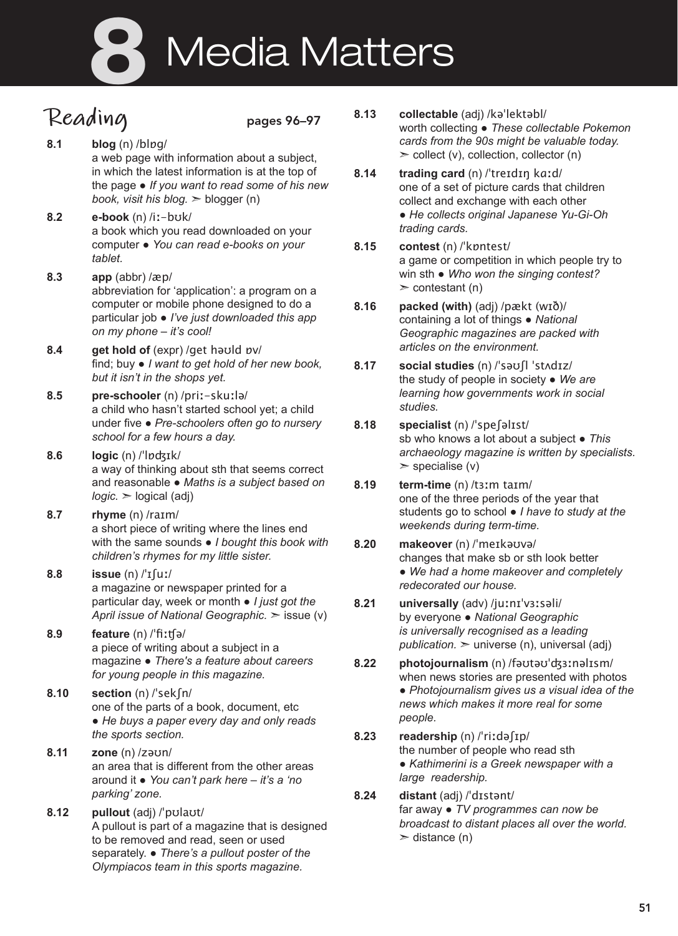# Media Matters

## Reading pages 96-97

- **8.1 blog** (n) /blɒg/ a web page with information about a subject, in which the latest information is at the top of the page ● *If you want to read some of his new book, visit his blog.* ➣ blogger (n)
- **8.2 e-book** (n) /iː-bʊk/ a book which you read downloaded on your computer ● *You can read e-books on your tablet.*
- **8.3 app** (abbr) /æp/ abbreviation for 'application': a program on a computer or mobile phone designed to do a particular job ● *I've just downloaded this app on my phone – it's cool!*
- **8.4 get hold of** (expr) /get həʊld ɒv/ find; buy ● *I want to get hold of her new book, but it isn't in the shops yet.*
- **8.5 pre-schooler** (n) /priː-skuːlə/ a child who hasn't started school yet; a child under five ● *Pre-schoolers often go to nursery school for a few hours a day.*
- **8.6 logic** (n) /ˈlɒʤɪk/ a way of thinking about sth that seems correct and reasonable ● *Maths is a subject based on logic.* ➣ logical (adj)
- **8.7 rhyme** (n) /raɪm/ a short piece of writing where the lines end with the same sounds ● *I bought this book with children's rhymes for my little sister.*
- **8.8 issue** (n) /ˈɪʃuː/ a magazine or newspaper printed for a particular day, week or month ● *I just got the April issue of National Geographic.* ➣ issue (v)
- **8.9 feature** (n) /ˈfiːʧə/ a piece of writing about a subject in a magazine ● *There's a feature about careers for young people in this magazine.*
- **8.10 section** (n) /ˈsekʃn/ one of the parts of a book, document, etc ● *He buys a paper every day and only reads the sports section.*
- **8.11 zone** (n) /zəʊn/ an area that is different from the other areas around it ● *You can't park here – it's a 'no parking' zone.*
- **8.12 pullout** (adj) /ˈpʊlaʊt/ A pullout is part of a magazine that is designed to be removed and read, seen or used separately. ● *There's a pullout poster of the Olympiacos team in this sports magazine.*
- **8.13 collectable** (adj) /kəˈlektəbl/ worth collecting ● *These collectable Pokemon cards from the 90s might be valuable today.*   $\ge$  collect (v), collection, collector (n)
- **8.14 trading card** (n) /ˈtreɪdɪŋ kɑːd/ one of a set of picture cards that children collect and exchange with each other ● *He collects original Japanese Yu-Gi-Oh trading cards.*
- **8.15 contest** (n) /ˈkɒntest/ a game or competition in which people try to win sth ● *Who won the singing contest?*  $\ge$  contestant (n)
- **8.16 packed (with)** (adj) /pækt (wɪð)/ containing a lot of things ● *National Geographic magazines are packed with articles on the environment.*
- **8.17 social studies** (n) /ˈsəʊʃl ˈstʌdɪz/ the study of people in society ● *We are learning how governments work in social studies.*
- **8.18 specialist** (n) /ˈspeʃəlɪst/ sb who knows a lot about a subject ● *This archaeology magazine is written by specialists.*  $>$  specialise (v)
- **8.19 term-time** (n) /tɜːm taɪm/ one of the three periods of the year that students go to school ● *I have to study at the weekends during term-time.*
- **8.20 makeover** (n) /ˈmeɪkəʊvə/ changes that make sb or sth look better ● *We had a home makeover and completely redecorated our house.*
- **8.21 universally** (adv) /juːnɪˈvɜːsəli/ by everyone ● *National Geographic is universally recognised as a leading publication.* ➣ universe (n), universal (adj)
- **8.22 photojournalism** (n) /fəʊtəʊˈʤɜːnəlɪsm/ when news stories are presented with photos ● *Photojournalism gives us a visual idea of the news which makes it more real for some people.*
- **8.23 readership** (n) /ˈriːdəʃɪp/ the number of people who read sth ● *Kathimerini is a Greek newspaper with a large readership.*
- **8.24 distant** (adj) /ˈdɪstənt/ far away ● *TV programmes can now be broadcast to distant places all over the world.*   $\ge$  distance (n)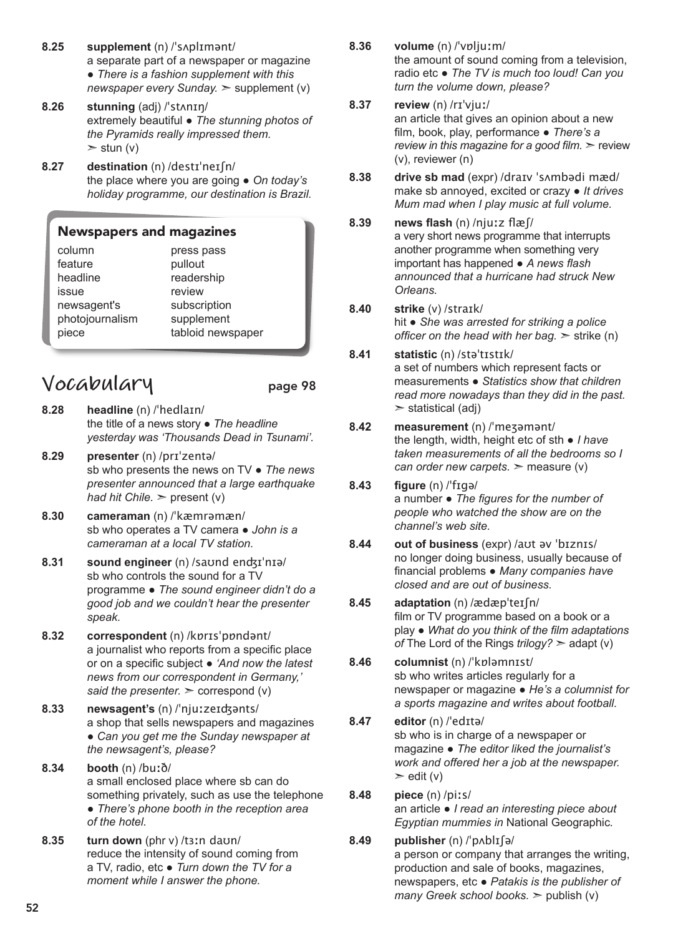- **8.25 supplement** (n) /ˈsʌplɪmənt/ a separate part of a newspaper or magazine ● *There is a fashion supplement with this newspaper every Sunday.* ➣ supplement (v)
- **8.26 stunning** (adj) /ˈstʌnɪŋ/ extremely beautiful ● *The stunning photos of the Pyramids really impressed them.*   $>$  stun (v)
- **8.27 destination** (n) /destɪˈneɪʃn/ the place where you are going ● *On today's holiday programme, our destination is Brazil.*

#### Newspapers and magazines

| column          | press pass        |  |
|-----------------|-------------------|--|
| feature         | pullout           |  |
| headline        | readership        |  |
| issue           | review            |  |
| newsagent's     | subscription      |  |
| photojournalism | supplement        |  |
| piece           | tabloid newspaper |  |
|                 |                   |  |

#### **Vocabulary** page 98

- **8.28 headline** (n) /ˈhedlaɪn/ the title of a news story ● *The headline yesterday was 'Thousands Dead in Tsunami'.*
- **8.29 presenter** (n) /prɪˈzentə/ sb who presents the news on TV ● *The news presenter announced that a large earthquake had hit Chile.* ► present (v)
- **8.30 cameraman** (n) /ˈkæmrəmæn/ sb who operates a TV camera ● *John is a cameraman at a local TV station.*
- **8.31 sound engineer** (n) /saʊnd enʤɪˈnɪə/ sb who controls the sound for a TV programme ● *The sound engineer didn't do a good job and we couldn't hear the presenter speak.*
- **8.32 correspondent** (n) /kɒrɪsˈpɒndənt/ a journalist who reports from a specific place or on a specific subject ● *'And now the latest news from our correspondent in Germany,' said the presenter.* > correspond (v)
- **8.33 newsagent's** (n) /ˈnjuːzeɪʤənts/ a shop that sells newspapers and magazines ● *Can you get me the Sunday newspaper at the newsagent's, please?*
- **8.34 booth** (n) /buːð/ a small enclosed place where sb can do something privately, such as use the telephone ● *There's phone booth in the reception area of the hotel.*
- **8.35 turn down** (phr v) /tɜːn daʊn/ reduce the intensity of sound coming from a TV, radio, etc ● *Turn down the TV for a moment while I answer the phone.*
- **8.36 volume** (n) /ˈvɒljuːm/ the amount of sound coming from a television, radio etc ● *The TV is much too loud! Can you turn the volume down, please?*
- **8.37 review** (n) /rɪˈvjuː/ an article that gives an opinion about a new film, book, play, performance ● *There's a review in this magazine for a good film.* > review (v), reviewer (n)
- **8.38 drive sb mad** (expr) /draɪv ˈsʌmbədi mæd/ make sb annoyed, excited or crazy ● *It drives Μum mad when I play music at full volume.*
- **8.39 news flash** (n) /njuːz flæʃ/ a very short news programme that interrupts another programme when something very important has happened ● *A news flash announced that a hurricane had struck New Orleans.*
- **8.40 strike** (v) /straɪk/ hit ● *She was arrested for striking a police officer on the head with her bag.* ➣ strike (n)
- **8.41 statistic** (n) /stəˈtɪstɪk/ a set of numbers which represent facts or measurements ● *Statistics show that children read more nowadays than they did in the past.*   $\triangleright$  statistical (adj)
- **8.42 measurement** (n) /ˈmeʒəmənt/ the length, width, height etc of sth ● *I have taken measurements of all the bedrooms so I can order new carpets.*  $>$  measure (v)
- **8.43 figure** (n) /ˈfɪgə/ a number ● *The figures for the number of people who watched the show are on the channel's web site.*
- **8.44 out of business** (expr) /aʊt əv ˈbɪznɪs/ no longer doing business, usually because of financial problems ● *Many companies have closed and are out of business.*
- **8.45 adaptation** (n) /ædæpˈteɪʃn/ film or TV programme based on a book or a play ● *What do you think of the film adaptations of* The Lord of the Rings *trilogy?* ➣ adapt (v)
- **8.46 columnist** (n) /ˈkɒləmnɪst/ sb who writes articles regularly for a newspaper or magazine ● *He's a columnist for a sports magazine and writes about football.*
- **8.47 editor** (n) /ˈedɪtə/ sb who is in charge of a newspaper or magazine ● *The editor liked the journalist's work and offered her a job at the newspaper.*   $\ge$  edit (v)
- **8.48 piece** (n) /piːs/ an article ● *I read an interesting piece about Egyptian mummies in* National Geographic*.*
- **8.49 publisher** (n) /ˈpʌblɪʃə/ a person or company that arranges the writing, production and sale of books, magazines, newspapers, etc ● *Patakis is the publisher of many Greek school books.* ➣ publish (v)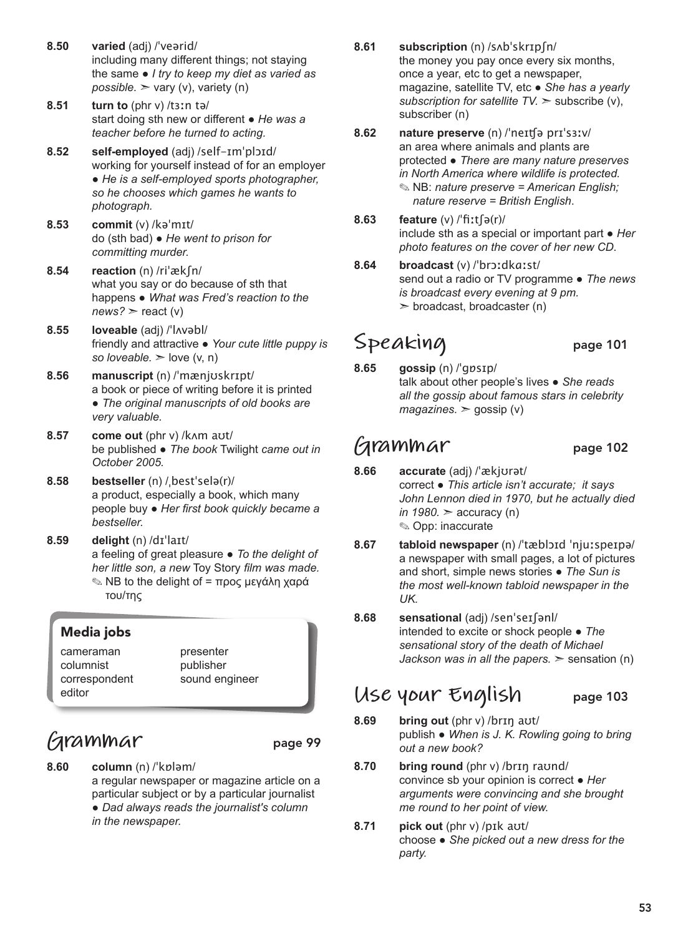- **8.50 varied** (adj) /ˈveərid/ including many different things; not staying the same ● *I try to keep my diet as varied as*   $possible.$   $\ge$  vary (v), variety (n)
- **8.51 turn to** (phr v) /tɜːn tə/ start doing sth new or different ● *He was a teacher before he turned to acting.*
- **8.52 self-employed** (adj) /self-ɪmˈplɔɪd/ working for yourself instead of for an employer ● *He is a self-employed sports photographer, so he chooses which games he wants to photograph.*
- **8.53 commit** (v) /kəˈmɪt/ do (sth bad) ● *He went to prison for committing murder.*
- **8.54 reaction** (n) /riˈækʃn/ what you say or do because of sth that happens ● *What was Fred's reaction to the*   $news?$   $\ge$  react (v)
- **8.55 loveable** (adj) /ˈlʌvəbl/ friendly and attractive ● *Your cute little puppy is so loveable.* ➣ love (v, n)
- **8.56 manuscript** (n) /ˈmænjʊskrɪpt/ a book or piece of writing before it is printed ● *The original manuscripts of old books are very valuable.*
- **8.57 come out** (phr v) /kʌm aʊt/ be published ● *The book* Twilight *came out in October 2005.*
- **8.58 bestseller** (n) /ˌbestˈselə(r)/ a product, especially a book, which many people buy ● *Her first book quickly became a bestseller.*
- **8.59 delight** (n) /dɪˈlaɪt/ a feeling of great pleasure ● *To the delight of her little son, a new* Toy Story *film was made.*  $\mathcal{L}$  NB to the delight of = προς μεγάλη χαρά του/της

#### Media jobs

cameraman columnist correspondent editor

presenter publisher sound engineer

## **Grammar** page 99

**8.60 column** (n) /ˈkɒləm/ a regular newspaper or magazine article on a particular subject or by a particular journalist ● *Dad always reads the journalist's column in the newspaper.*

- **8.61 subscription** (n) /sʌbˈskrɪpʃn/ the money you pay once every six months, once a year, etc to get a newspaper, magazine, satellite TV, etc ● *She has a yearly subscription for satellite TV.* ➣ subscribe (v), subscriber (n)
- **8.62 nature preserve** (n) /ˈneɪʧə prɪˈsɜːv/ an area where animals and plants are protected ● *There are many nature preserves in North America where wildlife is protected.* ✎ NB: *nature preserve = American English; nature reserve = British English*.
- **8.63 feature** (v) /ˈfiːtʃə(r)/ include sth as a special or important part ● *Her photo features on the cover of her new CD.*
- **8.64 broadcast** (v) /ˈbrɔːdkɑːst/ send out a radio or TV programme ● *The news is broadcast every evening at 9 pm.*   $\geq$  broadcast, broadcaster (n)

### Speaking page 101

**8.65 gossip** (n) /ˈgɒsɪp/ talk about other people's lives ● *She reads all the gossip about famous stars in celebrity magazines.* ➣ gossip (v)

#### **Grammar** page 102

- **8.66 accurate** (adj) /ˈækjʊrət/ correct ● *This article isn't accurate; it says John Lennon died in 1970, but he actually died in 1980.*  $>$  accuracy (n) ✎ Opp: inaccurate
- **8.67 tabloid newspaper** (n) /ˈtæblɔɪd ˈnjuːspeɪpə/ a newspaper with small pages, a lot of pictures and short, simple news stories ● *The Sun is the most well-known tabloid newspaper in the UK.*
- **8.68 sensational** (adj) /senˈseɪʃənl/ intended to excite or shock people ● *The sensational story of the death of Michael Jackson was in all the papers.*  $\ge$  sensation (n)

#### **Use your English** page 103

- **8.69 bring out** (phr v) /brɪŋ aʊt/ publish ● *When is J. K. Rowling going to bring out a new book?*
- **8.70 bring round** (phr v) /brɪŋ raʊnd/ convince sb your opinion is correct ● *Her arguments were convincing and she brought me round to her point of view.*
- **8.71 pick out** (phr v) /pɪk aʊt/ choose ● *She picked out a new dress for the party.*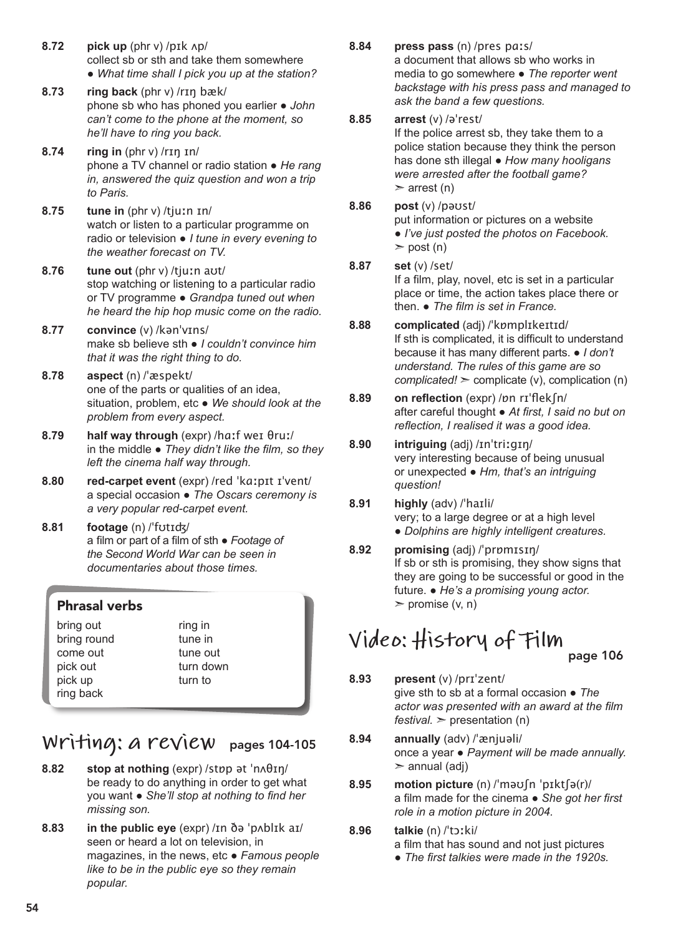- **8.72 pick up** (phr v) /pɪk ʌp/ collect sb or sth and take them somewhere ● *What time shall I pick you up at the station?*
- **8.73 ring back** (phr v) /rɪŋ bæk/ phone sb who has phoned you earlier ● *John can't come to the phone at the moment, so he'll have to ring you back.*
- **8.74 ring in** (phr v) /rɪŋ ɪn/ phone a TV channel or radio station ● *He rang in, answered the quiz question and won a trip to Paris.*
- **8.75 tune in** (phr v) /tjuːn ɪn/ watch or listen to a particular programme on radio or television ● *I tune in every evening to the weather forecast on TV.*
- **8.76 tune out** (phr v) /tjuːn aʊt/ stop watching or listening to a particular radio or TV programme ● *Grandpa tuned out when he heard the hip hop music come on the radio.*
- **8.77 convince** (v) /kənˈvɪns/ make sb believe sth ● *I couldn't convince him that it was the right thing to do.*
- **8.78 aspect** (n) /ˈæspekt/ one of the parts or qualities of an idea, situation, problem, etc ● *We should look at the problem from every aspect.*
- **8.79 half way through** (expr) /hɑːf weɪ θruː/ in the middle ● *They didn't like the film, so they left the cinema half way through.*
- **8.80 red-carpet event** (expr) /red ˈkɑːpɪt ɪˈvent/ a special occasion ● *The Oscars ceremony is a very popular red-carpet event.*
- **8.81 footage** (n) /ˈfʊtɪʤ/ a film or part of a film of sth ● *Footage of the Second World War can be seen in documentaries about those times.*

#### Phrasal verbs

| bring out   | ring in   |
|-------------|-----------|
| bring round | tune in   |
| come out    | tune out  |
| pick out    | turn down |
| pick up     | turn to   |
| ring back   |           |

#### **Writing: a review** pages 104-105

- **8.82 stop at nothing** (expr) /stɒp ət ˈnʌθɪŋ/ be ready to do anything in order to get what you want ● *She'll stop at nothing to find her missing son.*
- **8.83 in the public eye** (expr) /ɪn ðə ˈpʌblɪk aɪ/ seen or heard a lot on television, in magazines, in the news, etc ● *Famous people like to be in the public eye so they remain popular.*

**8.84 press pass** (n) /pres pɑːs/ a document that allows sb who works in media to go somewhere ● *The reporter went backstage with his press pass and managed to ask the band a few questions.* 

#### **8.85 arrest** (v) /əˈrest/

If the police arrest sb, they take them to a police station because they think the person has done sth illegal ● *How many hooligans were arrested after the football game?*   $\ge$  arrest (n)

- **8.86 post** (v) /pəʊst/ put information or pictures on a website ● *I've just posted the photos on Facebook.*   $\ge$  post (n)
- **8.87 set** (v) /set/ If a film, play, novel, etc is set in a particular place or time, the action takes place there or then. ● *The film is set in France.*
- **8.88 complicated** (adj) /ˈkɒmplɪkeɪtɪd/ If sth is complicated, it is difficult to understand because it has many different parts. ● *I don't understand. The rules of this game are so complicated!* ➣ complicate (v), complication (n)
- **8.89 on reflection** (expr) /ɒn rɪˈflekʃn/ after careful thought ● *At first, I said no but on reflection, I realised it was a good idea.*
- **8.90 intriguing** (adj) /ɪnˈtriːɡɪŋ/ very interesting because of being unusual or unexpected ● *Hm, that's an intriguing question!*
- **8.91 highly** (adv) /ˈhaɪli/ very; to a large degree or at a high level ● *Dolphins are highly intelligent creatures.*
- **8.92 promising** (adj) /ˈprɒmɪsɪŋ/ If sb or sth is promising, they show signs that they are going to be successful or good in the future. ● *He's a promising young actor.*   $\triangleright$  promise (v, n)

# **Video: History of Film** page 106

- **8.93 present** (v) /prɪˈzent/ give sth to sb at a formal occasion ● *The actor was presented with an award at the film festival.*  $\ge$  presentation (n)
- **8.94 annually** (adv) /ˈænjuəli/ once a year ● *Payment will be made annually.*  $\geq$  annual (adj)
- **8.95 motion picture** (n) /ˈməʊʃn ˈpɪktʃə(r)/ a film made for the cinema ● *She got her first role in a motion picture in 2004.*
- **8.96 talkie** (n) /ˈtɔːki/ a film that has sound and not just pictures ● *The first talkies were made in the 1920s.*

54